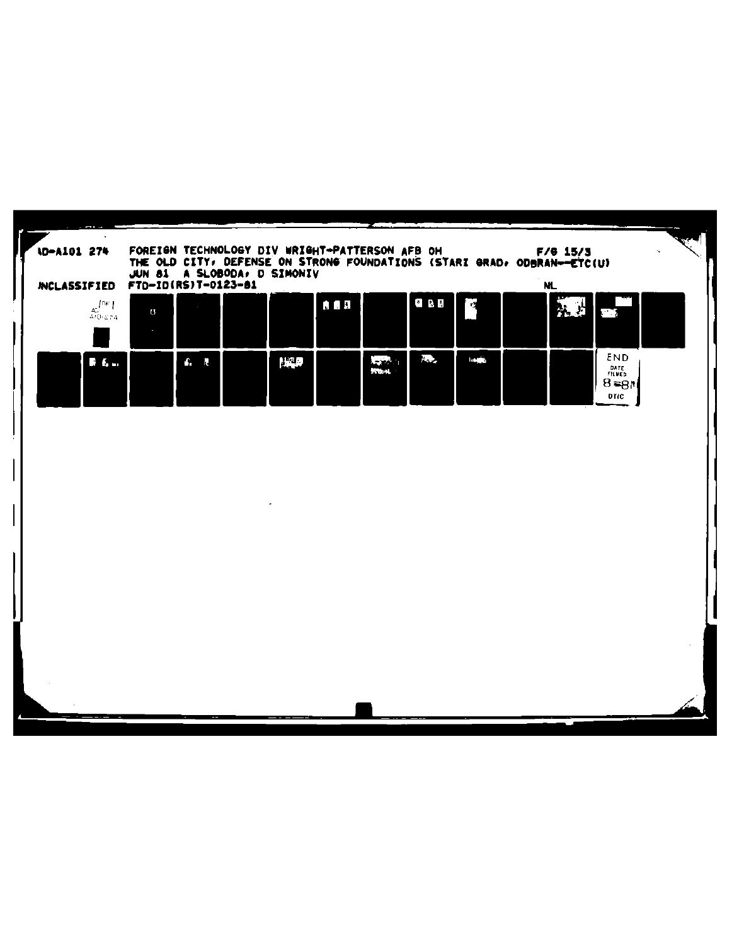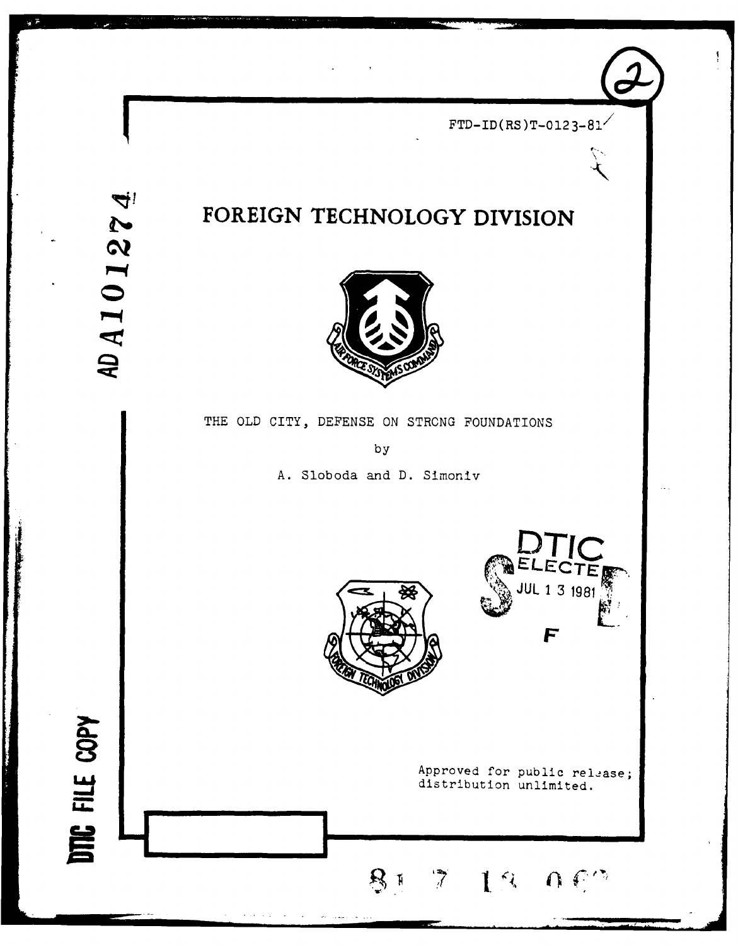$FTD-ID(RS)T-0123-81$ 

# $\blacktriangledown$ AD A 1 0 1 2 7

## **FOREIGN TECHNOLOGY DIVISION**



### THE OLD CITY, DEFENSE ON STRONG FOUNDATIONS

by

A. Sloboda and D. Simoniv

**DTIC** FILE COPY

**L A M.** .



 $\Delta$ pproved for public reliese; A distribution unlimited.

**DTIC**

**JUL 1 3 1981** 

**F**

**DTIC** 

13 060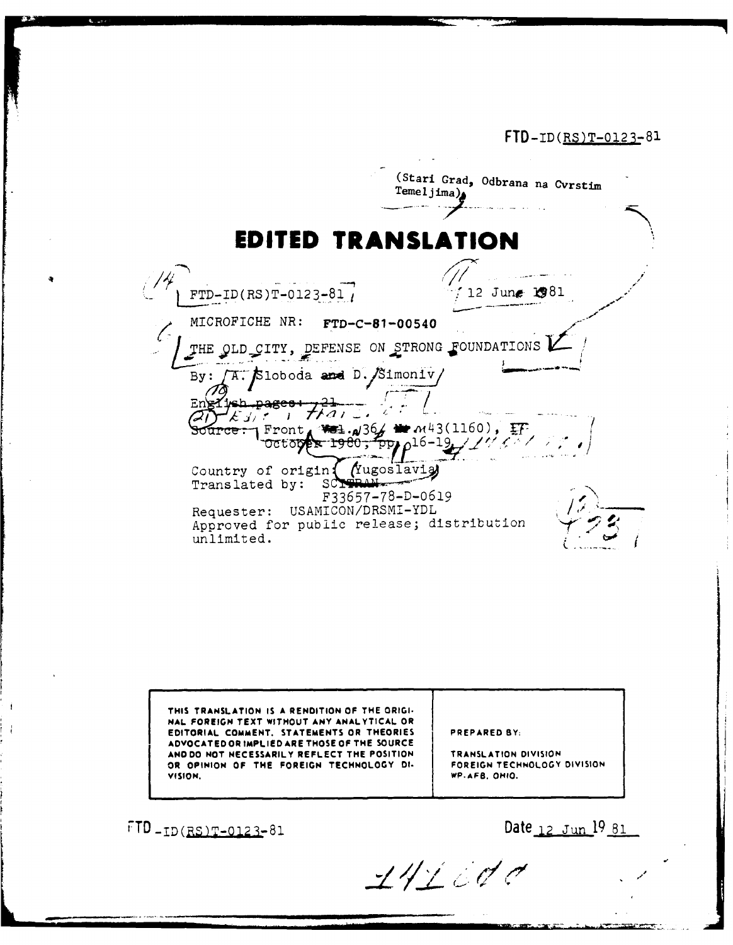FTD-ID(RS)T-012 3-81

Teme **ij** im~a) **EDITED TRANSLAT '~** */* ".... . .t  $FTD-ID(RS)T-0123-81$   $\sim$  12 June **81**  $\chi$  MICROFICHE NR: FTD-C-81-00540 THE OLD CITY, DEFENSE ON STRONG FOUNDATIONS By:  $\sqrt{A}$ . Sloboda and D. Simoniv,  $\overline{AP}$   $\overline{E}$   $\overline{E}$   $\overline{E}$   $\overline{E}$   $\overline{E}$   $\overline{E}$   $\overline{E}$   $\overline{E}$   $\overline{E}$   $\overline{E}$   $\overline{E}$   $\overline{E}$   $\overline{E}$   $\overline{E}$   $\overline{E}$   $\overline{E}$   $\overline{E}$   $\overline{E}$   $\overline{E}$   $\overline{E}$   $\overline{E}$   $\overline{E}$   $\overline{E}$   $\overline{$ **Front \*\*\* 4364 \*\* 043(1160), FF**<br>October 1980, pp 016-19 /// Country of origin (Yugoslavia) Translated by: F33657-78-D-0619 Requester: USAMICON/DRSMI-YDL Approved for public release; distribution  $\left\{\begin{array}{ccc} \bullet & \bullet & \bullet \\ \bullet & \bullet & \bullet & \bullet \end{array}\right\}$ 

**THIS TRANSLATION IS A RENDITION OF THE ORIGI. N4AL FOREIGN TEXT WITHOUT ANY ANALYTICAL OR EDITORIAL COMMENT. STATEMENTS OR THEORIES PREPARED BY: ADVOCATED OR IMPLIED ARE THOSE OF THE SOURCE** AND DO NOT NECESSARILY REFLECT THE POSITION **TRANSLATION DIVISION**<br>OR OPINION OF THE FOREIGN TECHNOLOGY DI- FOREIGN TECHNOLOGY DIVISION OR OPINION OF THE FOREIGN TECHNOLOGY DI-**VISION. WP.AFB. OHIO.**

**TRANSLATION DIVISION** 

FTD-ID(RS)T-0123-81

Date 12 Jun 19 81

 $1412000$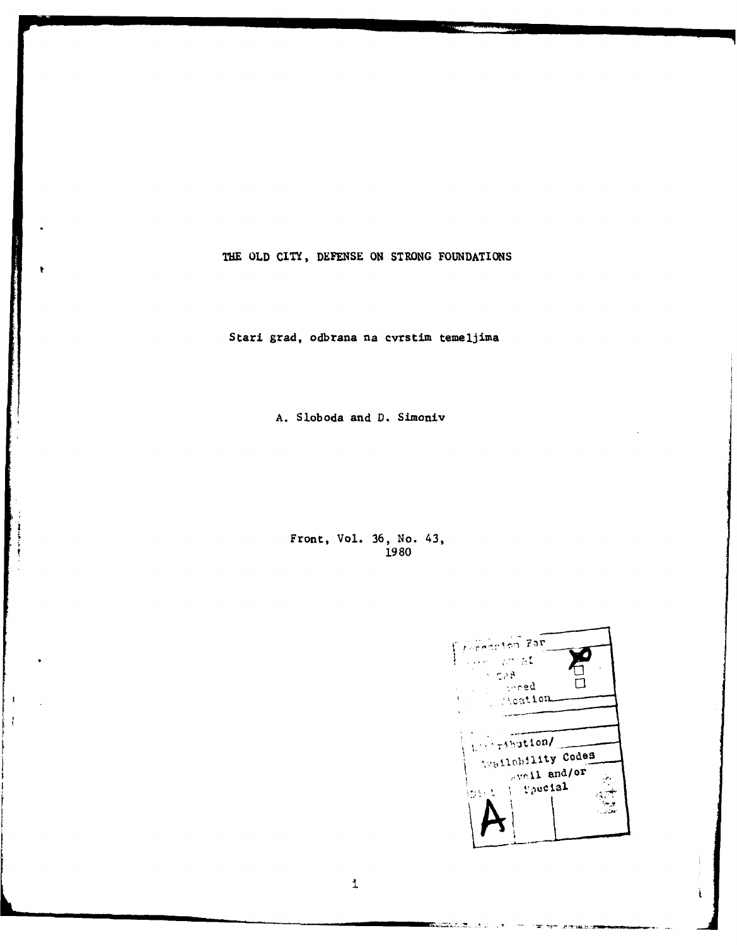THE OLD CITY, **DEFENSE ON STRONG FOUNDATIONS**

Stari grad, odbrana na cvrstim temeljima

**A.** Sloboda arnd **D.** Simoriiv

Front, Vol. **36,** No. 43, **1980**



lista di

j.  $\frac{1}{2}$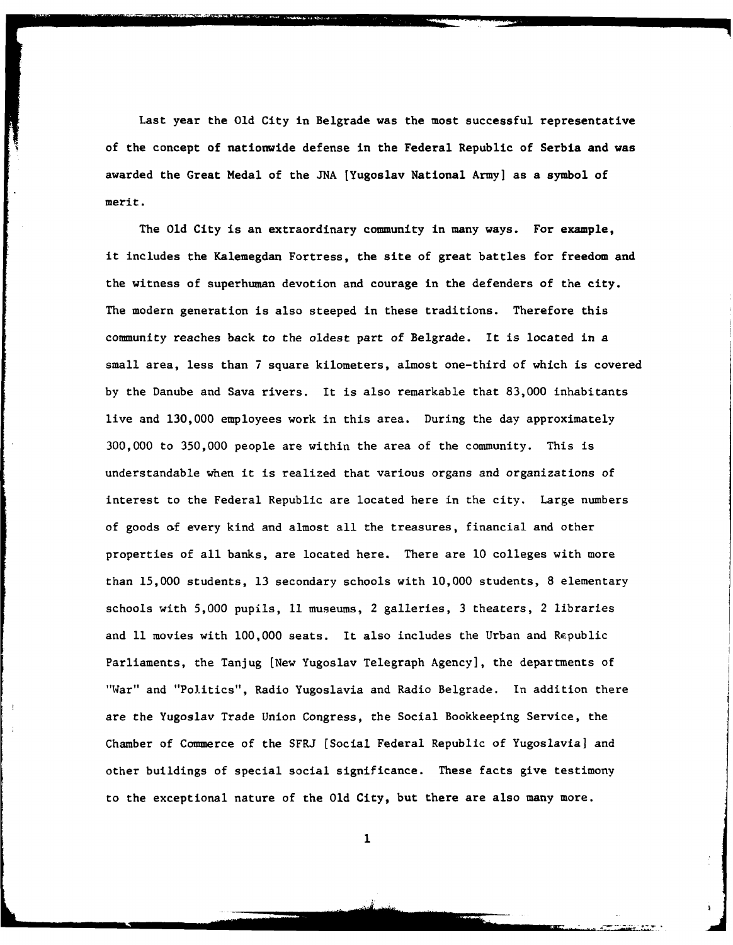Last year the **Old** City in Belgrade was the most successful representative of the concept of nationwide defense in the Federal Republic of Serbia and was awarded the Great Medal of the **JNA** [Yugoslav National Army] as a symbol of merit.

The **Old** City is an extraordinary community in many ways. For example, it includes the Kalemegdan Fortress, the site of great battles for freedom and the witness of superhuman devotion and courage in the defenders of the city. The modern generation is also steeped in these traditions. Therefore this community reaches back to the oldest part of Belgrade. It is located in a small area, less than **7** square kilometers, almost one-third of which is covered **by** the Danube and Sava rivers. It is also remarkable that **83,000** inhabitants live and **130,000** employees work in this area. During the day approximately **300,000** to **350,000** people are within the area of the community. This is understandable when it is realized that various organs and organizations of interest to the Federal Republic are located here in the city. Large numbers of goods **of** every kind and almost all the treasures, financial and other properties of all banks, are located here. There are **10** colleges with more than **15,000** students, **13** secondary schools with **10,000** students, **8** elementary schools with **5,000** pupils, **11** museums, 2 galleries, **3** theaters, 2 libraries and **11** movies with **100,000** seats. It also includes the Urban and Republic Parliaments, the Tanjug [New Yugoslav Telegraph Agency], the departments of "War" and "Politics", Radio Yugoslavia and Radio Belgrade. In addition there are the Yugoslav Trade Union Congress, the Social Bookkeeping Service, the Chamber of Commerce of the **SFRJ** [Social Federal Republic of Yugoslavia] and other buildings of special social significance. These facts give testimony to the exceptional nature of the **Old** City, but there are also many more.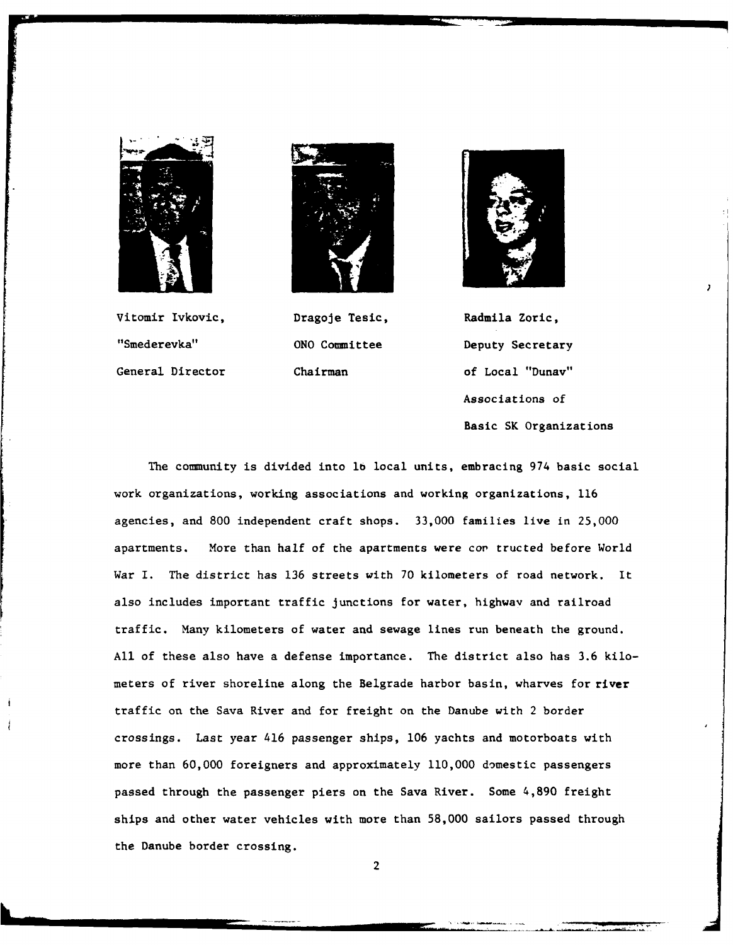

Vitomir Ivkovic, Dragoje Tesic, Radmila Zoric,





"Smederevka" ONO Committee Deputy Secretary General Director Chairman of Local "Dunav" Associations of Basic SK Organizations

 $\lambda$ 

The community is divided into 16 local units, embracing 974 basic social work organizations, working associations and working organizations, 116 agencies, and 800 independent craft shops. 33,000 families live in 25,000 apartments. More than half of the apartments were cor tructed before World War I. The district has 136 streets with 70 kilometers of road network. It also includes important traffic junctions for water, highway and railroad traffic. Many kilometers of water and sewage lines run beneath the ground. All of these also have a defense importance. The district also has 3.6 kilometers of river shoreline along the Belgrade harbor basin, wharves for river traffic on the Sava River and for freight on the Danube with 2 border crossings. Last year 416 passenger ships, 106 yachts and motorboats with more than 60,000 foreigners and approximately 110,000 domestic passengers passed through the passenger piers on the Sava River. Some 4,890 freight ships and other water vehicles with more than 58,000 sailors passed through the Danube border crossing.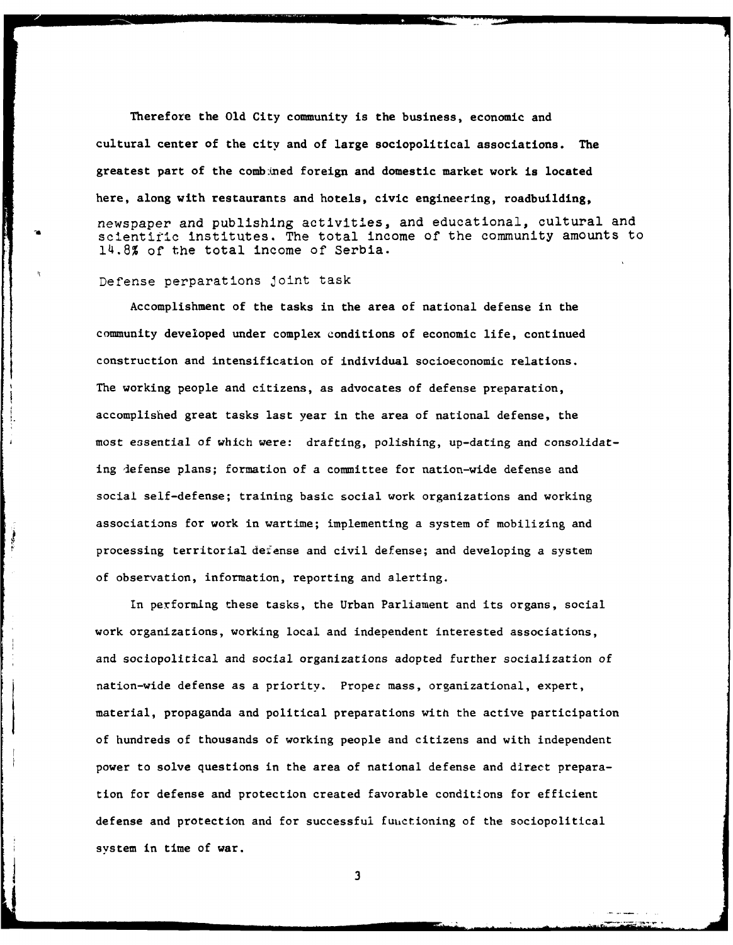Therefore the **Old** City community is the business, economic and cultural center of the city and of large sociopolitical associations. The greatest part of the combined foreign and domestic market work is located here, along with restaurants and hotels, civic engineering, roadbuilding, newspaper and publishing activities, and educational, cultural and scientific institutes. The total income of the community amounts to 14.8% of the total income of Serbia.

#### Defense perparations joint task

Accomplishment of the tasks in the area of national defense in the community developed under complex conditions of economic life, continued construction and intensification of individual socioeconomic relations. The working people and citizens, as advocates of defense preparation, accomplished great tasks last year in the area of national defense, the most essential of which were: drafting, polishing, up-dating and consolidating defense plans; formation of a committee for nation-wide defense and social self-defense; training basic social work organizations and working associations for work in wartime; implementing a system of mobilizing and processing territorial defense and civil defense; and developing a system of observation, information, reporting and alerting.

In performing these tasks, the Urban Parliament and its organs, social work organizations, working local and independent interested associations, and sociopolitical and social organizations adopted further socialization of nation-wide defense as a priority. Proper mass, organizational, expert, material, propaganda and political preparations with the active participation of hundreds of thousands of working people and citizens and with independent power to solve questions in the area of national defense and direct preparation for defense and protection created favorable conditions for efficient defense and protection and for successful functioning of the sociopolitical system in time of war.

 $\overline{\mathbf{3}}$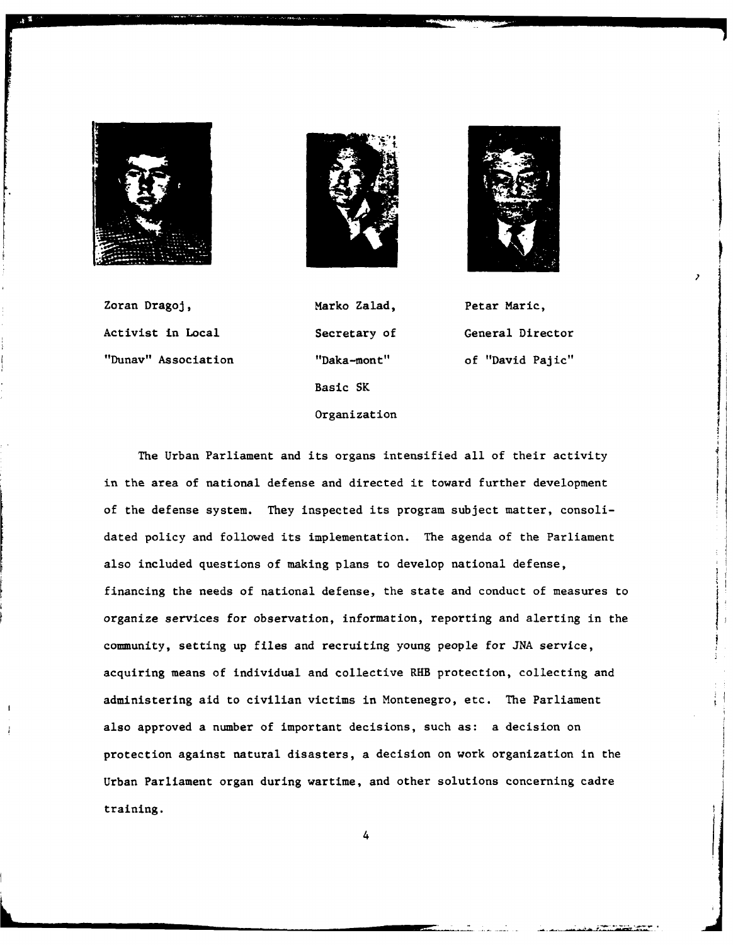





Zoran Dragoj,  $Marko$  Zalad,  $Petar$  Maric, Activist in Local Secretary of General Director "Dunav" Association "Daka-mont" of "David Pajic"

Basic SK Organization

The Urban Parliament and its organs intensified all of their activity in the area of national defense and directed it toward further development of the defense system. They inspected its program subject matter, consolidated policy and followed its implementation. The agenda of the Parliament also included questions of making plans to develop national defense, financing the needs of national defense, the state and conduct of measures to organize services for observation, information, reporting and alerting in the community, setting up files and recruiting young people for JNA service, acquiring means of individual and collective RHB protection, collecting and administering aid to civilian victims in Montenegro, etc. The Parliament also approved a number of important decisions, such as: a decision on protection against natural disasters, a decision on work organization in the Urban Parliament organ during wartime, and other solutions concerning cadre training.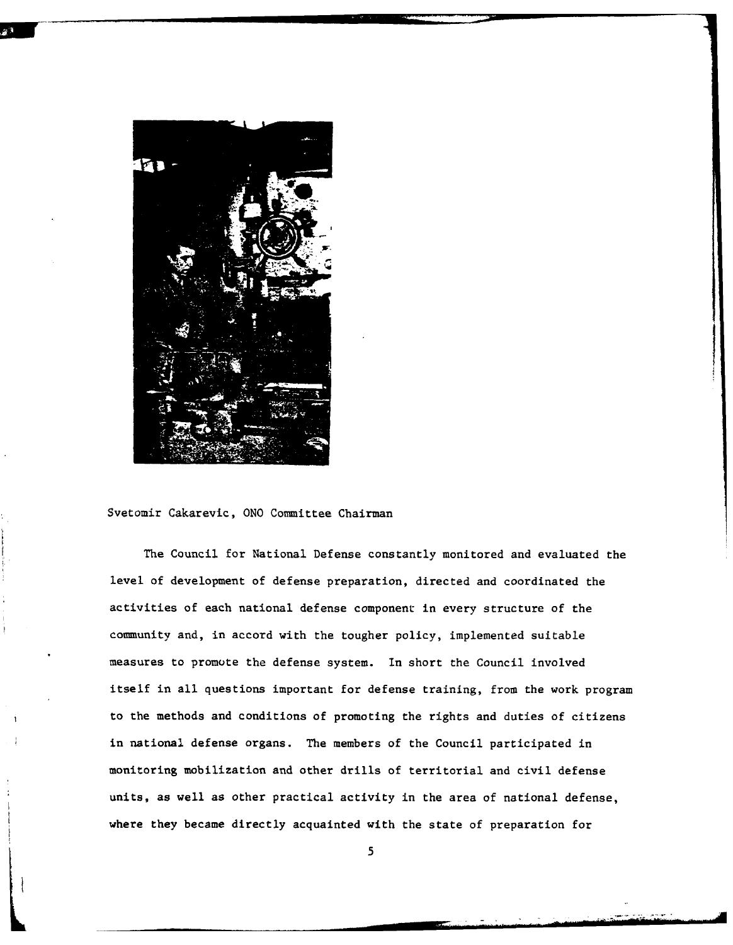

Svetomir Cakarevic, ONO Committee Chairman

The Council for National Defense constantly monitored and evaluated the level of development of defense preparation, directed and coordinated the activities of each national defense component in every structure of the community and, in accord with the tougher policy, implemented suitable measures to promote the defense system. In short the Council involved itself in all questions important for defense training, from the work program to the methods and conditions of promoting the rights and duties of citizens in national defense organs. The members of the Council participated in monitoring mobilization and other drills of territorial and civil defense units, as well as other practical activity in the area of national defense, where they became directly acquainted with the state of preparation for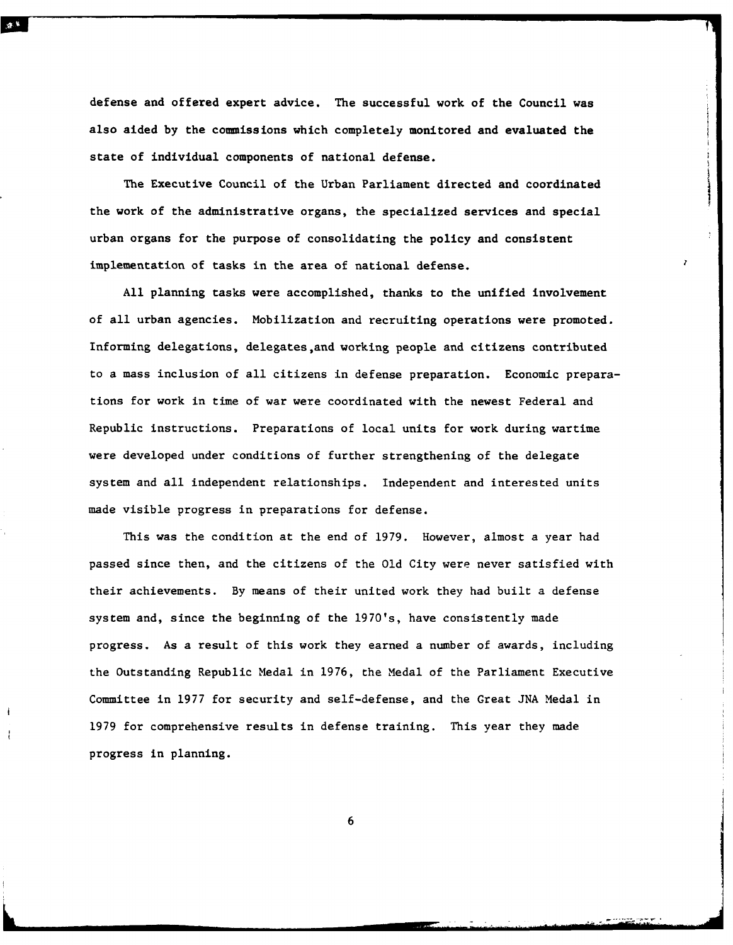defense and offered expert advice. The successful work of the Council was also aided **by** the commiss ions which completely monitored and evaluated the state of individual components of national defense.

The Executive Council of the Urban Parliament directed and coordinated the work of the administrative organs, the specialized services and special urban organs for the purpose of consolidating the policy and consistent implementation of tasks in the area of national defense.

**All** planning tasks were accomplished, thanks to the unified involvement of all urban agencies. Mobilization and recruiting operations were promoted. Informing delegations, delegates,and working people and citizens contributed to a mass inclusion of all citizens in defense preparation. Economic preparations for work in time of war were coordinated with the newest Federal and Republic instructions. Preparations of local units for work during wartime were developed under conditions of further strengthening of the delegate system and all independent relationships. Independent and interested units made visible progress in preparations for defense.

This was the condition at the end of **1979.** However, almost a year had passed since then, and the citizens of the **Old** City were never satisfied with their achievements. **By** means of their united work they had built a defense system and, since the beginning of the 1970's, have consistently made progress. As a result of this work they earned a number of awards, including the Outstanding Republic Medal in **1976,** the Medal of the Parliament Executive Committee in **1977** for security and self-defense, and the Great **JNA** Medal in **1979** for comprehensive results in defense training. This year they made progress in planning.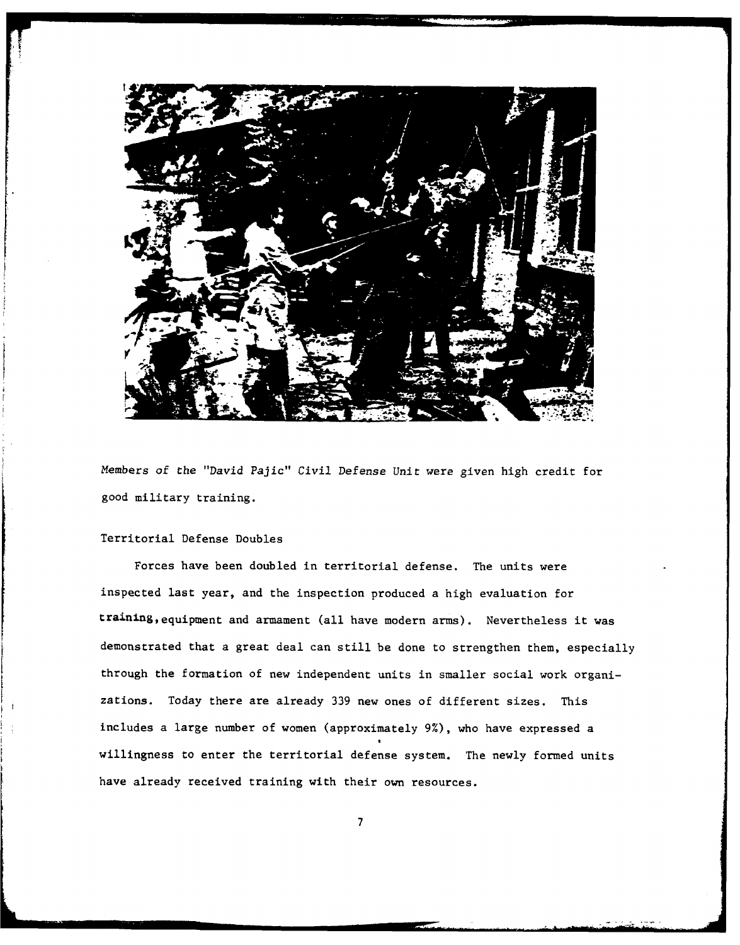

Members of the "David Pajic" Civil Defense Unit were given high credit for good military training.

#### Territorial Defense Doubles

Forces have been doubled in territorial defense. The units were inspected last year, and the inspection produced a high evaluation for training,equipment and armament (all have modern arms). Nevertheless it was demonstrated that a great deal can still be done to strengthen them, especially through the formation of new independent units in smaller social work organizations. Today there are already 339 new ones of different sizes. This includes a large number of women (approximately 9%), who have expressed a willingness to enter the territorial defense system. The newly formed units have already received training with their own resources.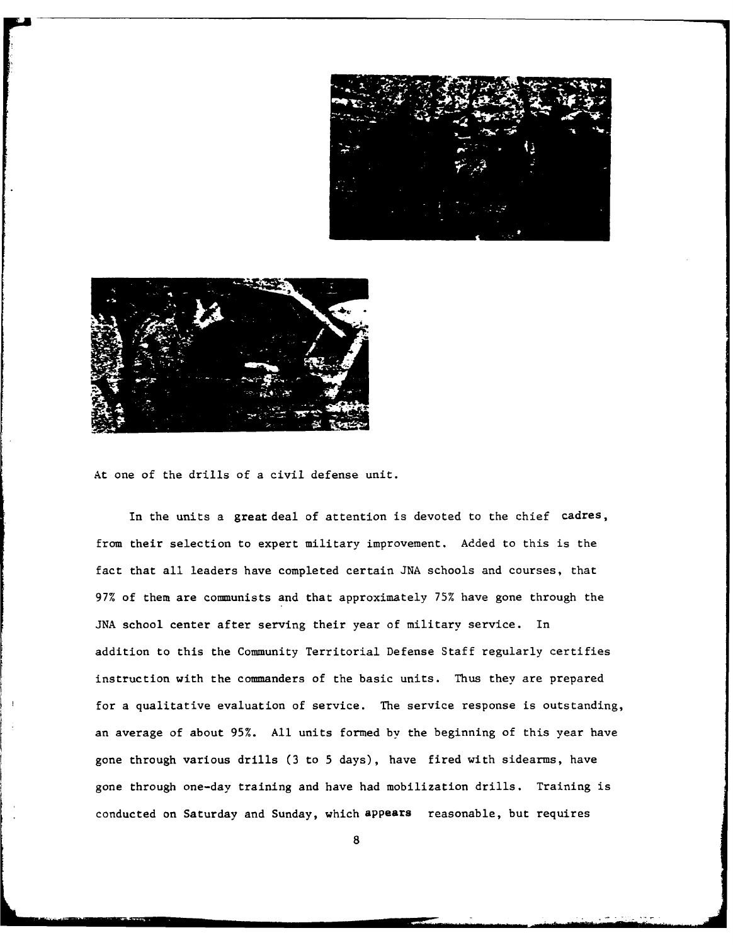



At one of the drills of a civil defense unit.

In the units a great deal of attention is devoted to the chief cadres, from their selection to expert military improvement. Added to this is the fact that all leaders have completed certain **JNA** schools and courses, that **97%** of them are communists and that approximately **75%** have gone through the **JNA** school center after serving their year of military service. En addition to this the Community Territorial Defense Staff regularly certifies instruction with the commanders of the basic units. Thus they are prepared for a qualitative evaluation of service. The service response is outstanding, an average of about **95%. All** units formed **by** the beginning of this year have gone through various drills **(3** to **5** days), have fired with sidearms, have gone through one-day training and have had mobilization drills. Training is conducted on Saturday and Sunday, which appears reasonable, but requires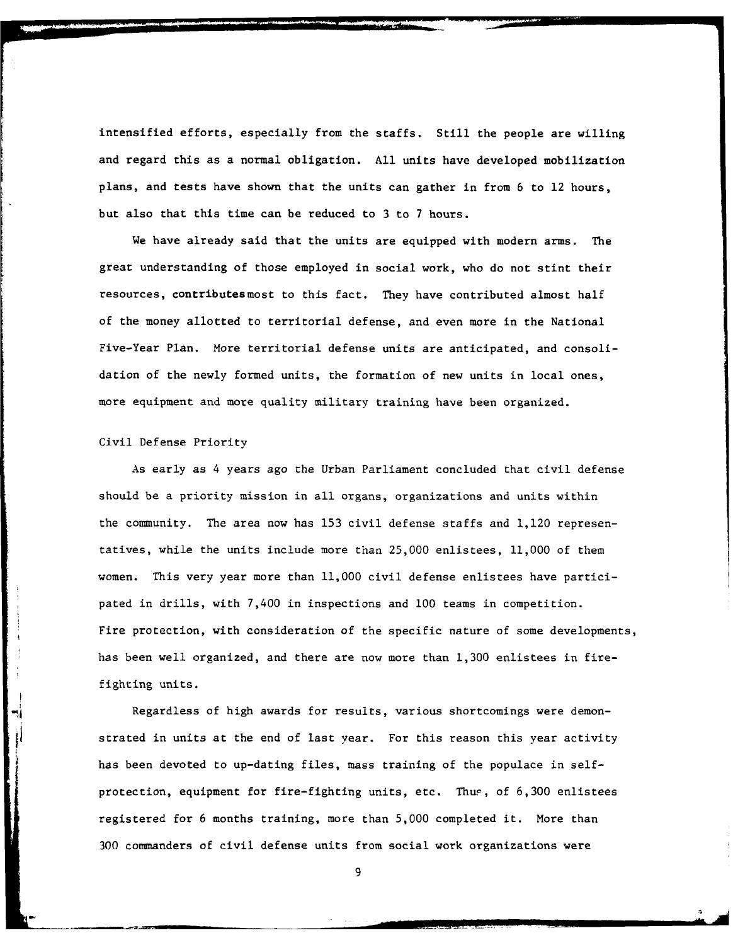intensified efforts, especially from the staffs. Still the people are willing and regard this as a normal obligation. **All** units have developed mobilization plans, and tests have shown that the units can gather in from **6** to 12 hours, but also that this time can be reduced to **3** to **7** hours.

We have already said that the units are equipped with modern arms. The great understanding of those employed in social work, who do not stint their resources, contributesmost to this fact. They have contributed almost half of the money allotted to territorial defense, and even more in the National Five-Year Plan. More territorial defense units are anticipated, and consolidation of the newly formed units, the formation of new units in local ones, more equipment and more quality military training have been organized.

#### Civil Defense Priority

As early as 4 years ago the Urban Parliament concluded that civil defense should be a priority mission in all organs, organizations and units within the community. The area now has **153** civil defense staffs and 1,120 representatives, while the units include more than **25,000** enlistees, **11,000** of them women. This very year more than **11,000** civil defense enlistees have participated in drills, with 7,400 in inspections and **100** teams in competition. Fire protection, with consideration of the specific nature of some developments, has been well organized, and there are now more than 1,300 enlistees in firefighting units.

Regardless of high awards for results, various shortcomings were demon strated in units at the end of last year. For this reason this year activity has been devoted to up-dating files, mass training of the populace in selfprotection, equipment for fire-fighting units, etc. Thus, of 6,300 enlistees registered for **6** months training, more than **5,000** completed it. More than **300** commanders of civil defense units from social work organizations were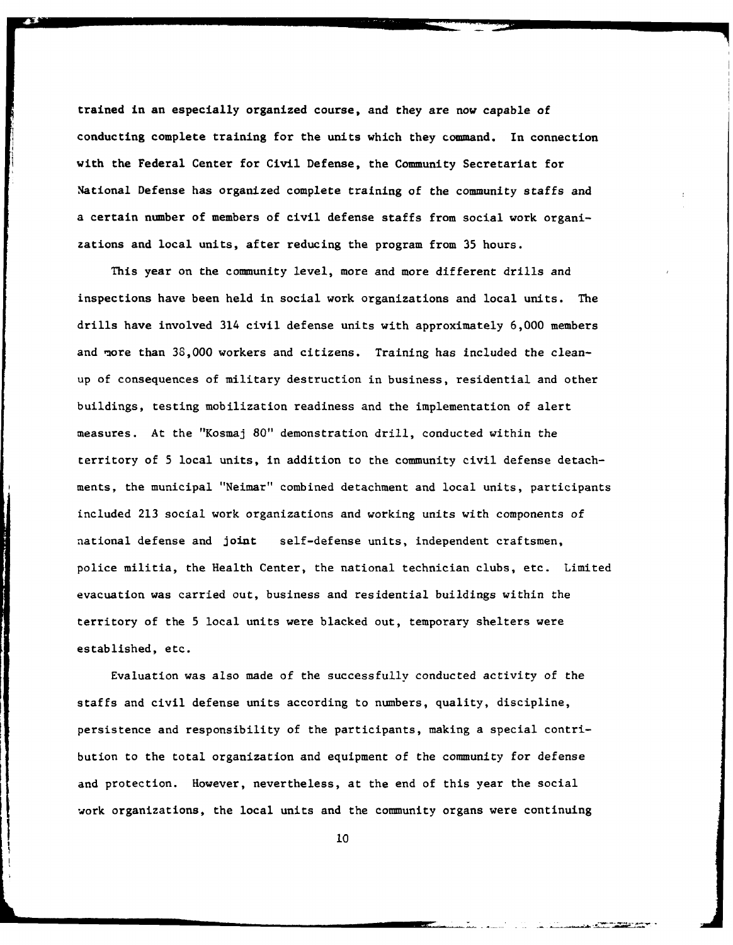trained in an especially organized course, and they are now capable of conducting complete training for the units which they command. In connection with the Federal Center for Civil Defense, the Community Secretariat for National Defense has organized complete training of the community staffs and a certain number of members of civil defense staffs from social work organizations and local units, after reducing the program from **35** hours.

This year on the community level, more and more different drills and inspections have been held in social work organizations and local units. The drills have involved 314 civil defense units with approximately **6,000** members and more than 38,000 workers and citizens. Training has included the cleanup of consequences of military destruction in business, residential and other buildings, testing mobilization readiness and the implementation of alert measures. At the "Kosmaj **80"** demonstration drill, conducted within the territory of **5** local units, in addition to the community civil defense detachments, the municipal "Neimar" combined detachment and local units, participants included **213** social work organizations and working units with components of national defense and joint self-defense units, independent craftsmen, police militia, the Health Center, the national technician clubs, etc. Limited evacuation was carried out, business and residential buildings within the territory of the **5** local units were blacked out, temporary shelters were established, etc.

Evaluation was also made of the successfully conducted activity of the staffs and civil defense units according to numbers, quality, discipline, persistence and responsibility of the participants, making a special contribution to the total organization and equipment of the community for defense and protection. However, nevertheless, at the end of this year the social work organizations, the local units and the community organs were continuing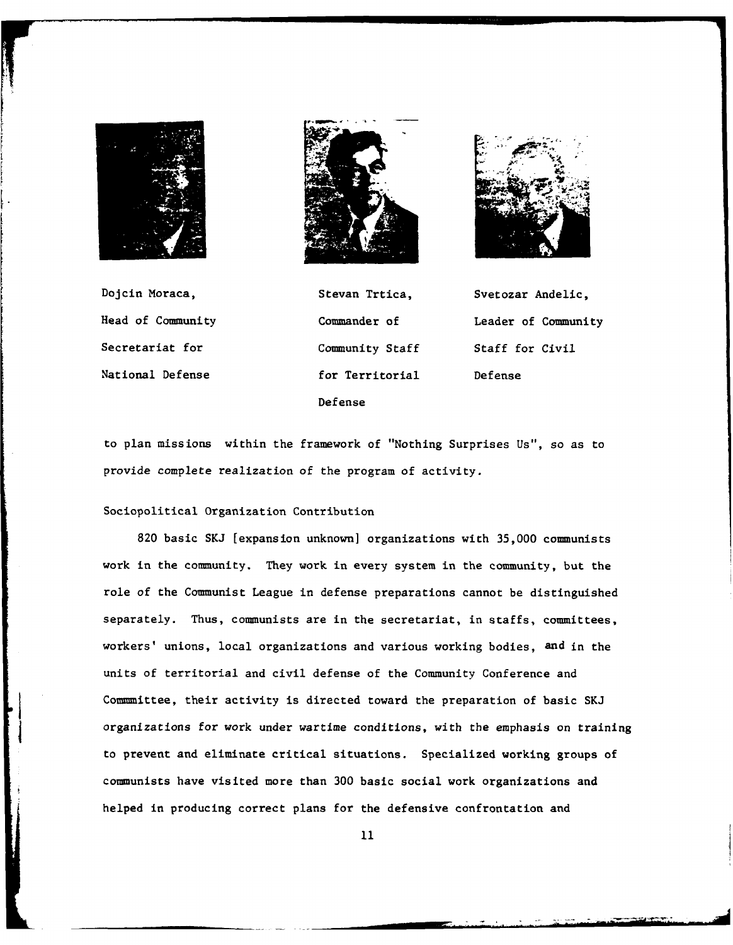

Secretariat for The Community Staff Staff for Civil National Defense **for Territorial** Defense





Dojcin Moraca, Stevan Trtica, Svetozar Andelic, Defense

Head of Community Commander of Leader of Community

to plan missions within the framework of "Nothing Surprises Us", so as to provide complete realization of the program of activity.

#### Sociopolitical Organization Contribution

**820** basic **SKJ** [expansion unknown] organizations with **35,000** communists work in the community. They work in every system in the community, but the role of the Communist League in defense preparations cannot be distinguished separately. Thus, communists are in the secretariat, in staffs, committees, workers' unions, local organizations and various working bodies, and in the units of territorial and civil defense of the Community Conference and Committee, their activity is directed toward the preparation of basic **SKJ** organizations for work under wartime conditions, with the emphasis on training to prevent and eliminate critical situations. Specialized working groups of communists have visited more than **300** basic social work organizations and helped in producing correct plans for the defensive confrontation and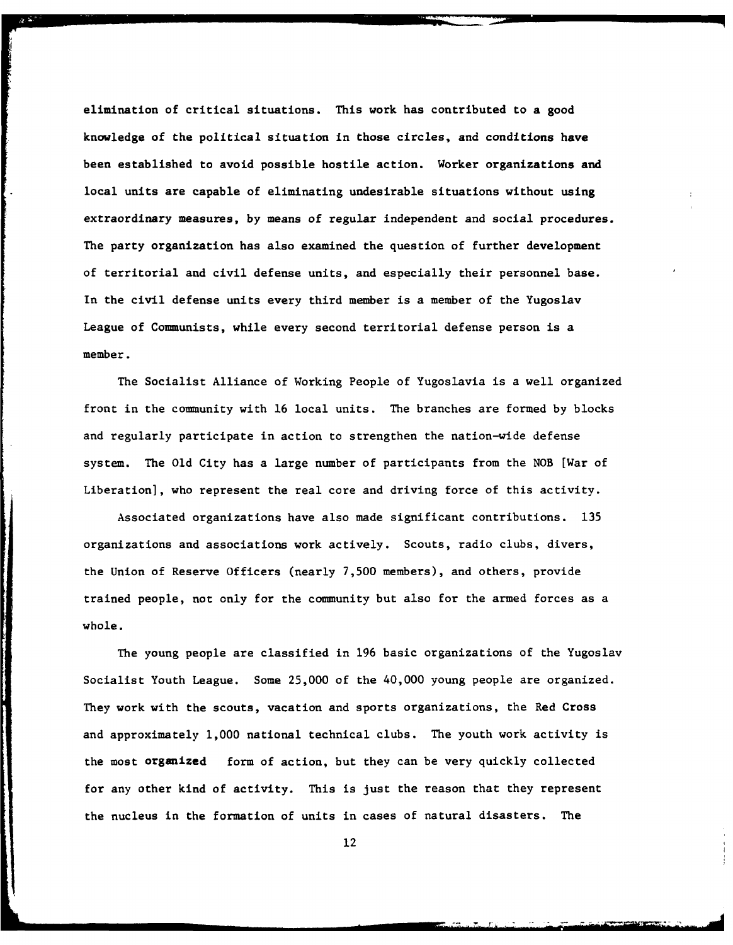elimination of critical situations. This work has contributed to a good knowledge of the political situation in those circles, and conditions have been established to avoid possible hostile action. Worker organizations and local units are capable of eliminating undesirable situations without using extraordinary measures, **by** means of regular independent and social procedures. The party organization has also examined the question of further development of territorial and civil defense units, and especially their personnel base. In the civil defense units every third member is a member of the Yugoslav League of Communists, while every second territorial defense person is a member.

The Socialist Alliance of Working People of Yugoslavia is a well organized front in the community with **16** local units. The branches are formed **by** blocks and regularly participate in action to strengthen the nation-wide defense system. The **Old** City has a large number of participants from the **NOB** [War of Liberation], who represent the real core and driving force of this activity.

Associated organizations have also made significant contributions. **135** organizations and associations work actively. Scouts, radio clubs, divers, the Union of Reserve Officers (nearly **7,500** members), and others, provide trained people, not only for the community but also for the armed forces as a whole.

The young people are classified in **196** basic organizations of the Yugoslav Socialist Youth League. Some **25,000** of the 40,000 young people are organized. They work with the scouts, vacation and sports organizations, the Red Cross and approximately **1,000** national technical clubs. The youth work activity is the most organized form of action, but they can be very quickly collected for any other kind of activity. This is just the reason that they represent the nucleus in the formation of units in cases of natural disasters. The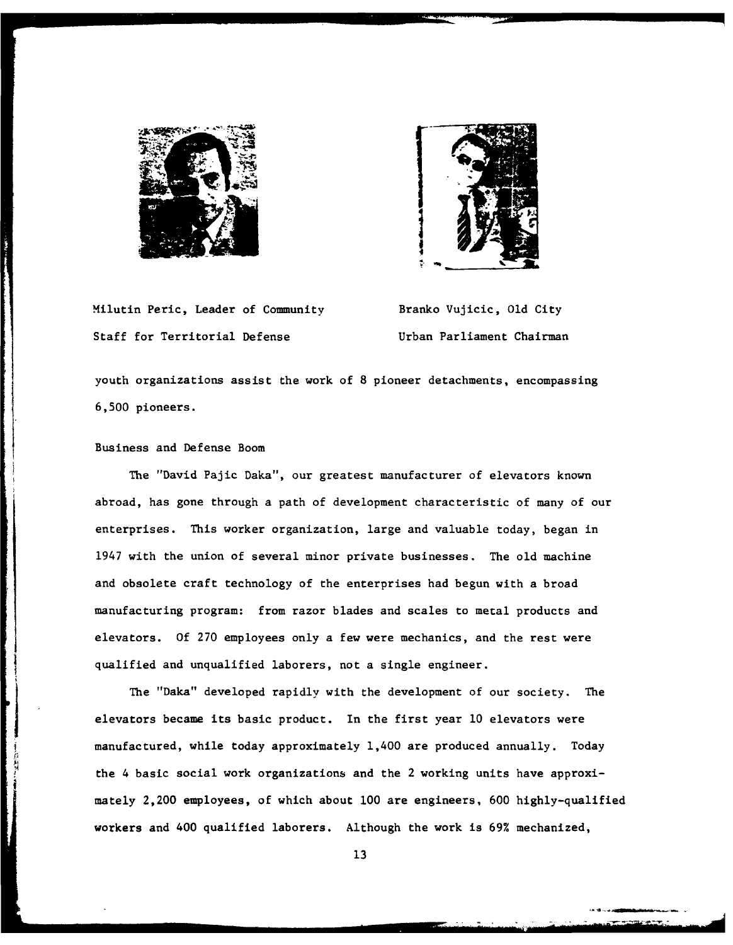



Milutin Peric, Leader of Community Branko Vujicic, Old City Staff for Territorial Defense Urban Parliament Chairman

youth organizations assist the work of 8 pioneer detachments, encompassing 6,500 pioneers.

#### Business and Defense Boom

The "David Pajic Daka", our greatest manufacturer of elevators known abroad, has gone through a path of development characteristic of many of our enterprises. This worker organization, large and valuable today, began in 1947 with the union of several minor private businesses. The old machine and obsolete craft technology of the enterprises had begun with a broad manufacturing program: from razor blades and scales to metal products and elevators. Of **270** employees only a few were mechanics, and the rest were qualified and unqualified laborers, not a single engineer.

The "Daka" developed rapidly with the development of our society. The elevators became its basic product. In the first year **10** elevators were manufactured, while today approximately 1,400 are produced annually. Today the 4 basic social work organizations and the 2 working units have approximately 2,200 employees, of which about **100** are engineers, 600 highly-qualified workers and 400 qualified laborers. Although the work is 69% mechanized,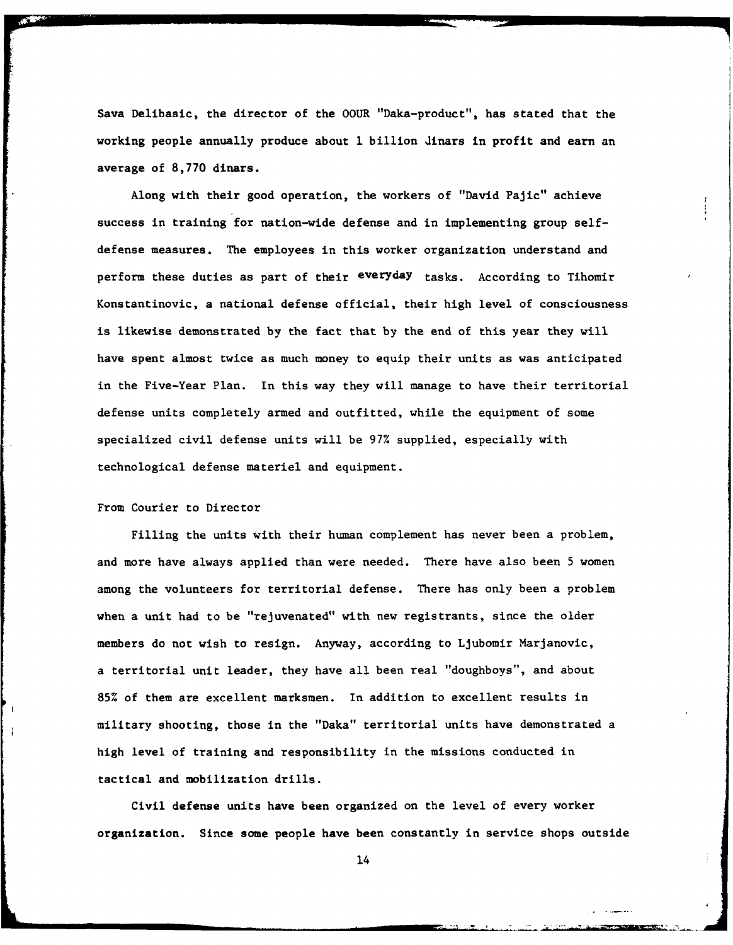Sava Delibasic, the director of the OOUR "Daka-product", has stated that the working people annually produce about **1** billion dinars in profit and earn an average of 8,770 dinars.

Along with their good operation, the workers of "David Pajic" achieve success in training for nation-wide defense and in implementing group selfdefense measures. The employees in this worker organization understand and perform these duties as part of their everyday tasks. According to Tihomir Konstantinovic, a national defense official, their high level of consciousness is likewise demonstrated by the fact that **by** the end of this year they will have spent almost twice as much money to equip their units as was anticipated in the Five-Year Plan. In this way they will manage to have their territorial defense units completely armed and outfitted, while the equipment of some specialized civil defense units will be 97% supplied, especially with technological defense materiel and equipment.

#### From Courier to Director

Filling the units with their human complement has never been a problem, and more have always applied than were needed. There have also been 5 women among the volunteers for territorial defense. There has only been a problem when a unit had to be "rejuvenated" with new registrants, since the older members do not wish to resign. Anyway, according to Ljubomir Marjanovic, a territorial unit leader, they have all been real "doughboys", and about **85%** of them are excellent marksmen. In addition to excellent results in military shooting, those in the "Daka" territorial units have demonstrated a high level of training and responsibility in the missions conducted in tactical and mobilization drills.

Civil defense units have been organized on the level of every worker organization. Since some people have been constantly in service shops outside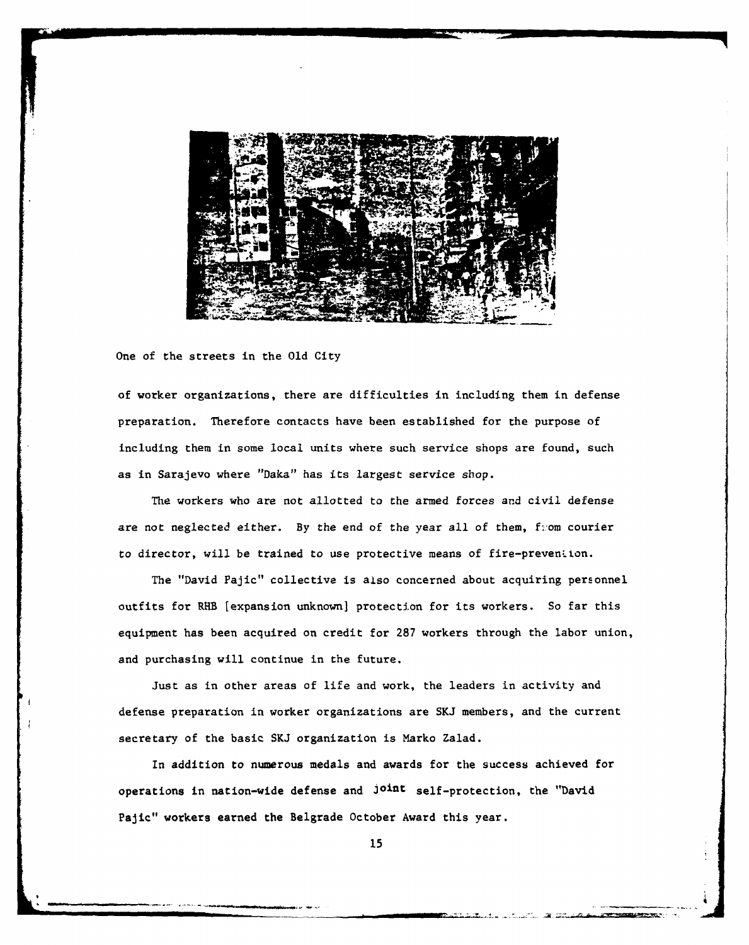

One of the streets in the **Old** City

of worker organizations, there are difficulties in including them in defense preparation. Therefore contacts have been established for the purpose of including them in some local units where such service shops are found, such as in Sarajevo where "Daka" has its largest service shop.

The workers who are not allotted to the armed forces and civil defense are not neglected either. By the end of the year all of them, from courier to director, will be trained to use protective means of fire-prevention.

The "David Pajic" collective is also concerned about acquiring personnel outfits for **RHB** [expansion unknown] protection for its workers. So far this equipment has been acquired on credit for 287 workers through the labor union, and purchasing will continue in the future.

Just as in other areas of life and work, the leaders in activity and defense preparation in worker organizations are SKJ members, and the current secretary of the basic SKJ organization is Marko Zalad.

In addition to numerous medals and awards for the success achieved for operations in nation-wide defense and joint self-protection, the "David Pajic" workers earned the Belgrade October Award this year.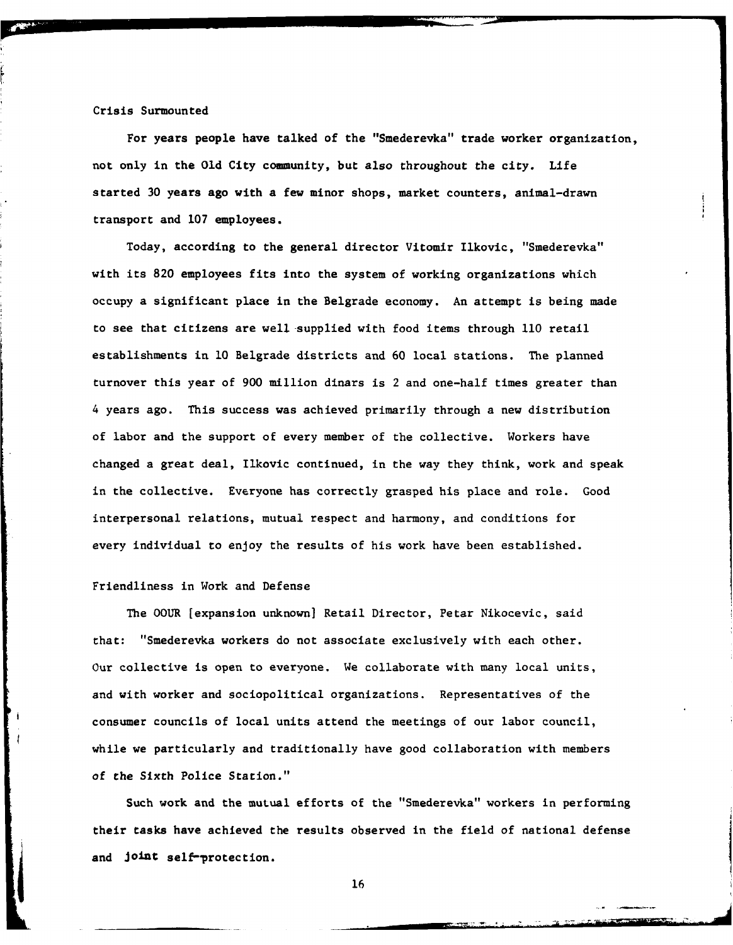#### Crisis Surmounted

For years people have talked of the "Smederevka" trade worker organization, not only in the **Old** City community, but also throughout the city. Life started **30** years ago with a few minor shops, market counters, animal-drawn transport and **107** employees.

Today, according to the general director Vitomir Ilkovic, "Smederevka" with its **820** employees fits into the system of working organizations which occupy a significant place in the Belgrade economy. An attempt is being made to see that citizens are well -supplied with food items through **110** retail establishments in **10** Belgrade districts and **60** local stations. The planned turnover this year of **900** million dinars is 2 and one-half times greater than 4 years ago. This success was achieved primarily through a new distribution of labor and the support of every member of the collective. Workers have changed a great deal, Ilkovic continued, in the way they think, work and speak in the collective. Everyone has correctly grasped his place and role. Good interpersonal relations, mutual respect and harmony, and conditions for every individual to enjoy the results of his work have been established.

#### Friendliness in Work and Defense

The OOUR [expansion unknown] Retail Director, Petar Nikocevic, said that: "Smederevka workers do not associate exclusively with each other. Our collective is open to everyone. We collaborate with many local units, and with worker and sociopolitical organizations. Representatives of the consumer councils of local units attend the meetings of our labor council, while we particularly and traditionally have good collaboration with members of the Sixth Police Station."

Such work and the mutual efforts of the "Smederevka" workers in performing their tasks have achieved the results observed in the field of national defense and **joint** self-protection.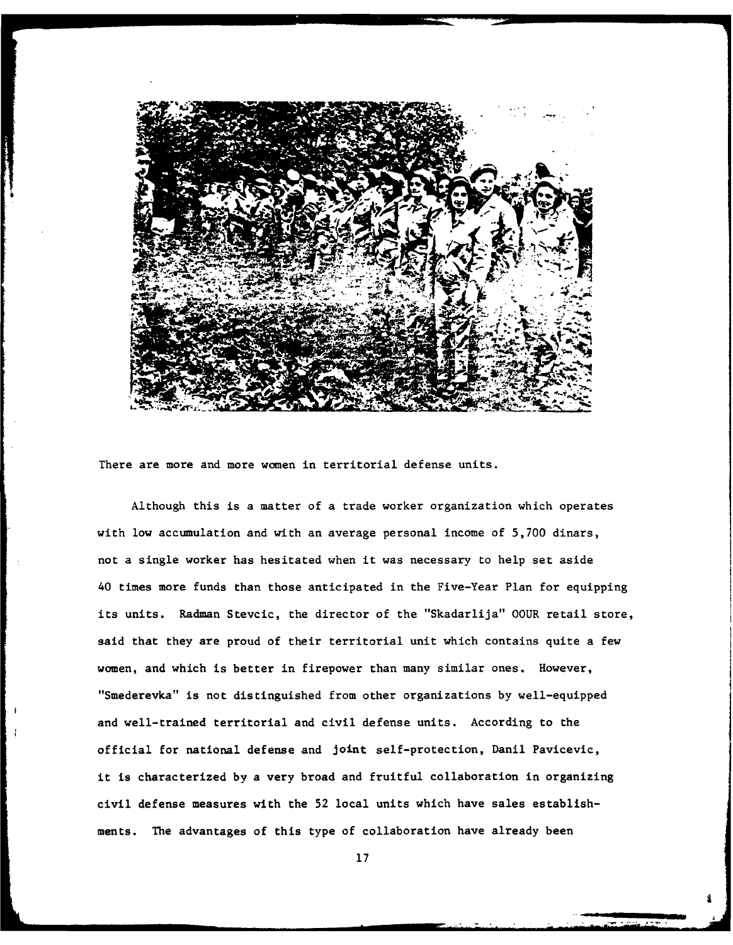

There are more and more women in territorial defense units.

Although this is a matter of a trade worker organization which operates with low accumulation and with an average personal income of 5,700 dinars, not a single worker has hesitated when it was necessary to help set aside 40 times more funds than those anticipated in the Five-Year Plan for equipping its units. Radman Stevcic, the director of the "Skadarlija" OOUR retail store, said that they are proud of their territorial unit which contains quite a few women, and which is better in firepower than many similar ones. However, "Smederevka" is not distinguished from other organizations by well-equipped and well-trained territorial and civil defense units. According to the official for national defense and joint self-protection, Danil Pavicevic, it is characterized **by** a very broad and fruitful collaboration in organizing civil defense measures with the **52** local units which have sales establishments. The advantages of this type of collaboration have already been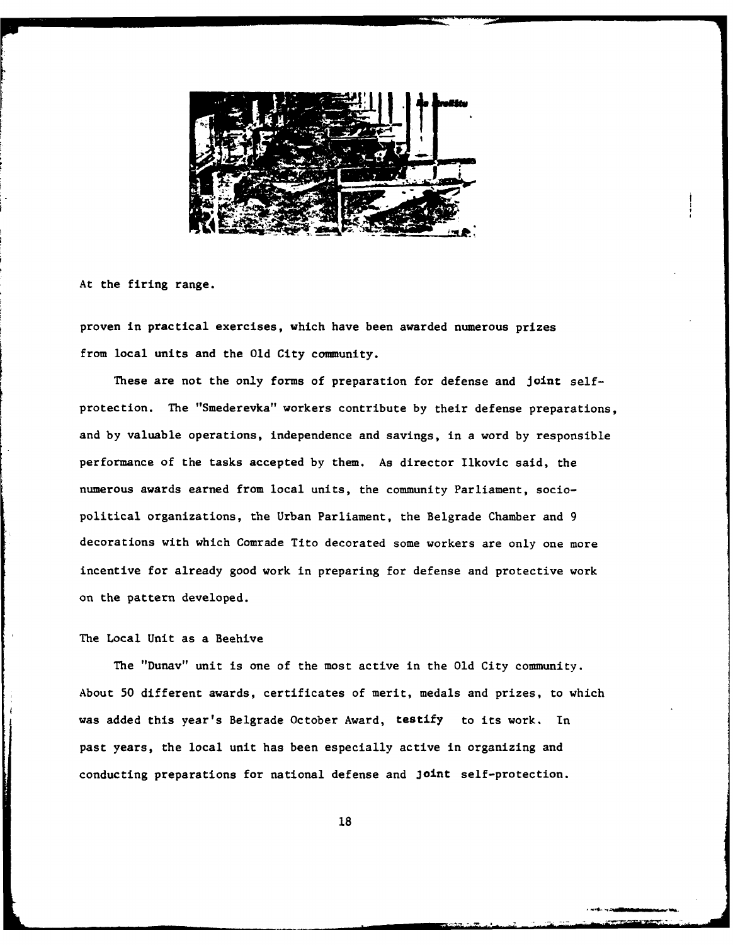

At the firing range.

proven in practical exercises, which have been awarded numerous prizes from local units and the **Old** City community.

These are not the only forms of preparation for defense and joint selfprotection. The "Smederevka" workers contribute **by** their defense preparations, and **by** valuable operations, independence and savings, in a word **by** responsible performance of the tasks accepted by them. As director Ilkovic said, the numerous awards earned from local units, the community Parliament, sociopolitical organizations, the Urban Parliament, the Belgrade Chamber and **9** decorations with which Comrade Tito decorated some workers are only one more incentive for already good work in preparing for defense and protective work on the pattern developed.

#### The Local Unit as a Beehive

**Property of the Company's** 

The "Dunav" unit is one of the most active in the **Old** City community. About **50** different awards, certificates of merit, medals and prizes, to which was added this year's Belgrade October Award, testify to its work. In past years, the local unit has been especially active in organizing and conducting preparations for national defense and Joint self-protection.

**18**

\*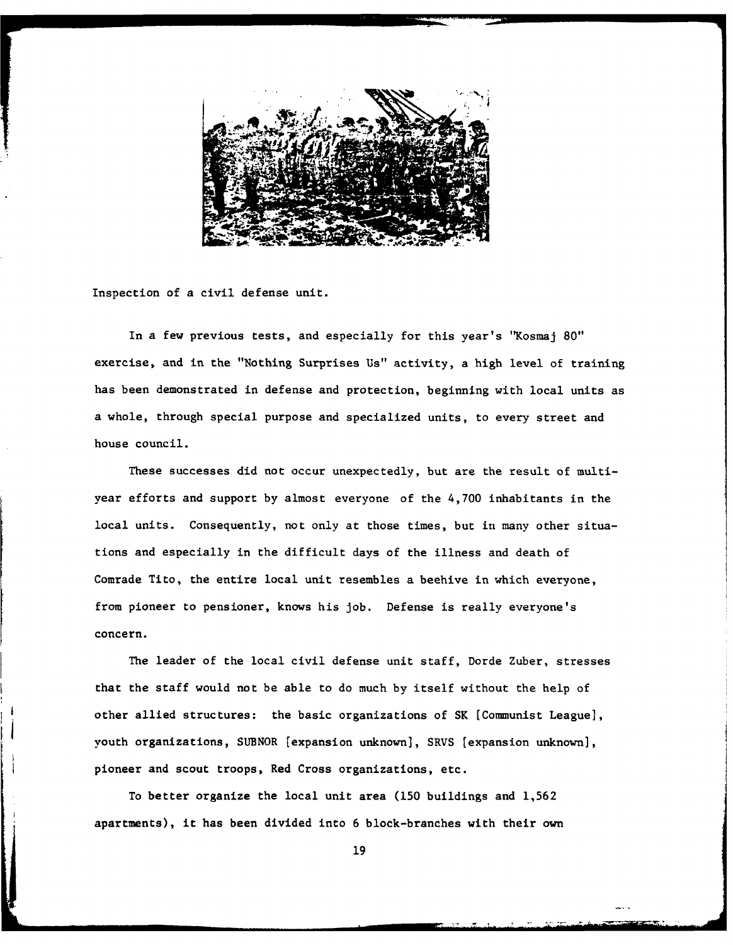

Inspection of a civil defense unit.

In a few previous tests, and especially for this year's "Kosmaj **80"** exercise, and in the "Nothing Surprises Us" activity, a high level of training has been demonstrated in defense and protection, beginning with local units as a whole, through special purpose and specialized units, to every street and house council.

These successes did not occur unexpectedly, but are the result of multiyear efforts and support by almost everyone of the 4,700 inhabitants in the local units. Consequently, not only at those times, but in many other situations and especially in the difficult days of the illness and death of Comrade Tito, the entire local unit resembles a beehive in which everyone, from pioneer to pensioner, knows his job. Defense is really everyone's concern.

The leader of the local civil defense unit staff, Dorde Zuber, stresses that the staff would not be able to do much by itself without the help of other allied structures: the basic organizations of SK [Communist League], youth organizations, SUENOR [expansion unknown], SRVS [expansion unknown], pioneer and scout troops, Red Cross organizations, etc.

To better organize the local unit area (150 buildings and 1,562 apartments), it has been divided into 6 block-branches with their own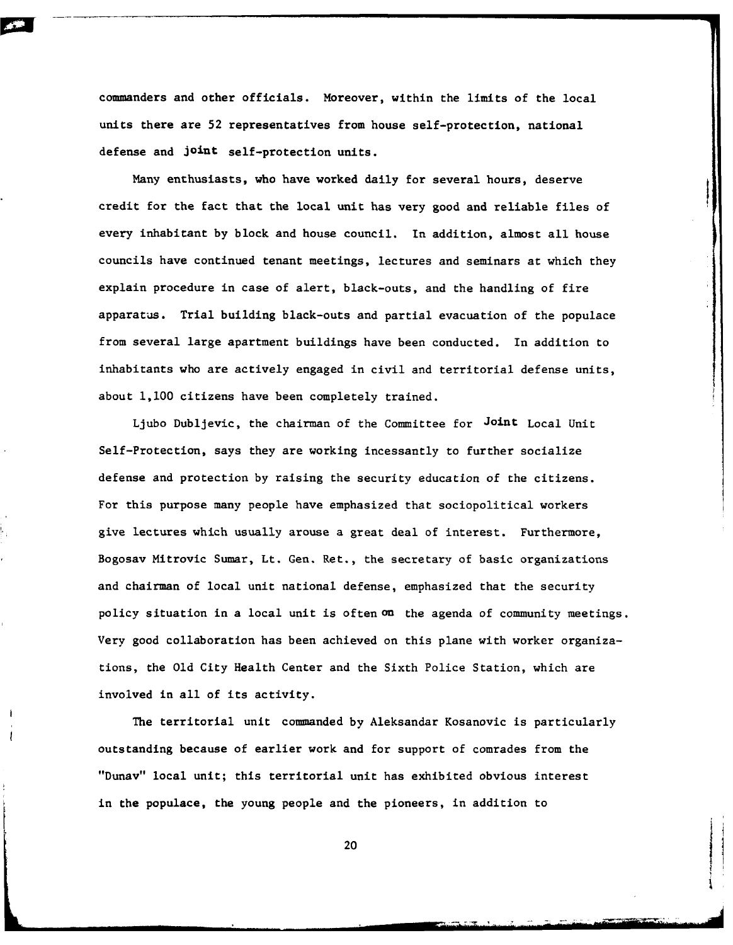commanders and other officials. Moreover, within the limits of the local units there are **52** representatives from house self-protection, national defense and Joint self-protection units.

Many enthusiasts, who have worked daily for several hours, deserve credit for the fact that the local unit has very good and reliable files of every inhabitant **by** block and house council. In addition, almost all house councils have continued tenant meetings, lectures and seminars at which they explain procedure in case of alert, black-outs, and the handling of fire apparatus. Trial building black-outs and partial evacuation of the populace from several large apartment buildings have been conducted. In addition to inhabitants who are actively engaged in civil and territorial defense units, about **1,100** citizens have been completely trained.

Ljubo Dubljevic, the chairman of the Committee for Joint Local Unit Self-Protection, says they are working incessantly to further socialize defense and protection **by** raising the security education of the citizens. For this purpose many people have emphasized that sociopolitical workers give lectures which usually arouse a great deal of interest. Furthermore, Bogosav Mitrovic Sumar, Lt. Gen. Ret., the secretary of basic organizations and chairman of local unit national defense, emphasized that the security policy situation in a local unit is often on the agenda of community meetings. Very good collaboration has been achieved on this plane with worker organizations, the **Old** City Health Center and the Sixth Police Station, which are involved in all of its activity.

The territorial unit commanded **by** Aleksandar Kosanovic is particularly outstanding because of earlier work and for support of comrades from the "Dunav" local unit; this territorial unit has exhibited obvious interest in the populace, the young people and the pioneers, in addition to